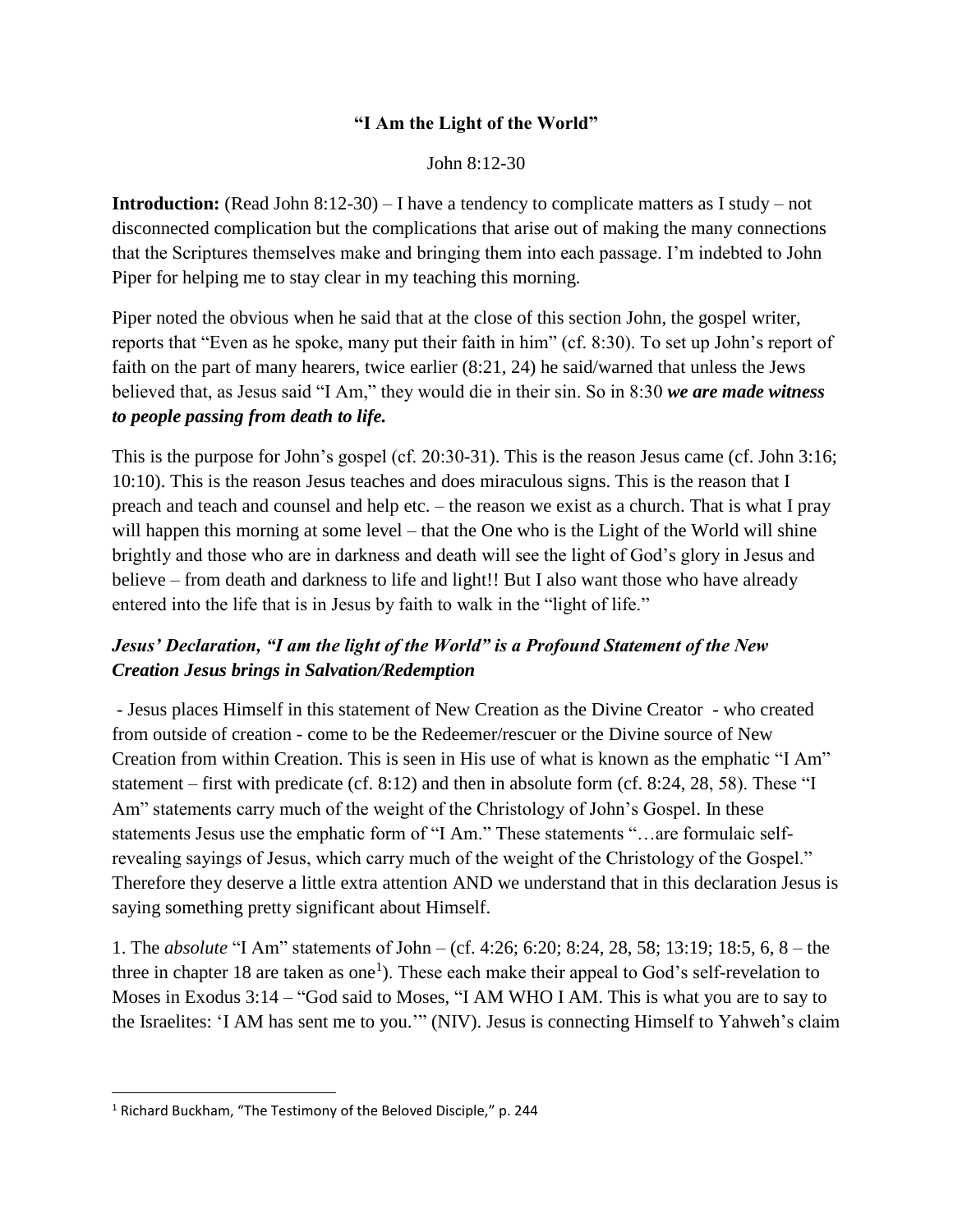## **"I Am the Light of the World"**

John 8:12-30

**Introduction:** (Read John 8:12-30) – I have a tendency to complicate matters as I study – not disconnected complication but the complications that arise out of making the many connections that the Scriptures themselves make and bringing them into each passage. I'm indebted to John Piper for helping me to stay clear in my teaching this morning.

Piper noted the obvious when he said that at the close of this section John, the gospel writer, reports that "Even as he spoke, many put their faith in him" (cf. 8:30). To set up John's report of faith on the part of many hearers, twice earlier (8:21, 24) he said/warned that unless the Jews believed that, as Jesus said "I Am," they would die in their sin. So in 8:30 *we are made witness to people passing from death to life.*

This is the purpose for John's gospel (cf. 20:30-31). This is the reason Jesus came (cf. John 3:16; 10:10). This is the reason Jesus teaches and does miraculous signs. This is the reason that I preach and teach and counsel and help etc. – the reason we exist as a church. That is what I pray will happen this morning at some level – that the One who is the Light of the World will shine brightly and those who are in darkness and death will see the light of God's glory in Jesus and believe – from death and darkness to life and light!! But I also want those who have already entered into the life that is in Jesus by faith to walk in the "light of life."

## *Jesus' Declaration, "I am the light of the World" is a Profound Statement of the New Creation Jesus brings in Salvation/Redemption*

- Jesus places Himself in this statement of New Creation as the Divine Creator - who created from outside of creation - come to be the Redeemer/rescuer or the Divine source of New Creation from within Creation. This is seen in His use of what is known as the emphatic "I Am" statement – first with predicate (cf. 8:12) and then in absolute form (cf. 8:24, 28, 58). These "I Am" statements carry much of the weight of the Christology of John's Gospel. In these statements Jesus use the emphatic form of "I Am." These statements "…are formulaic selfrevealing sayings of Jesus, which carry much of the weight of the Christology of the Gospel." Therefore they deserve a little extra attention AND we understand that in this declaration Jesus is saying something pretty significant about Himself.

1. The *absolute* "I Am" statements of John – (cf. 4:26; 6:20; 8:24, 28, 58; 13:19; 18:5, 6, 8 – the three in chapter 18 are taken as one<sup>1</sup>). These each make their appeal to God's self-revelation to Moses in Exodus 3:14 – "God said to Moses, "I AM WHO I AM. This is what you are to say to the Israelites: 'I AM has sent me to you.'" (NIV). Jesus is connecting Himself to Yahweh's claim

 $\overline{\phantom{a}}$ 

<sup>1</sup> Richard Buckham, "The Testimony of the Beloved Disciple," p. 244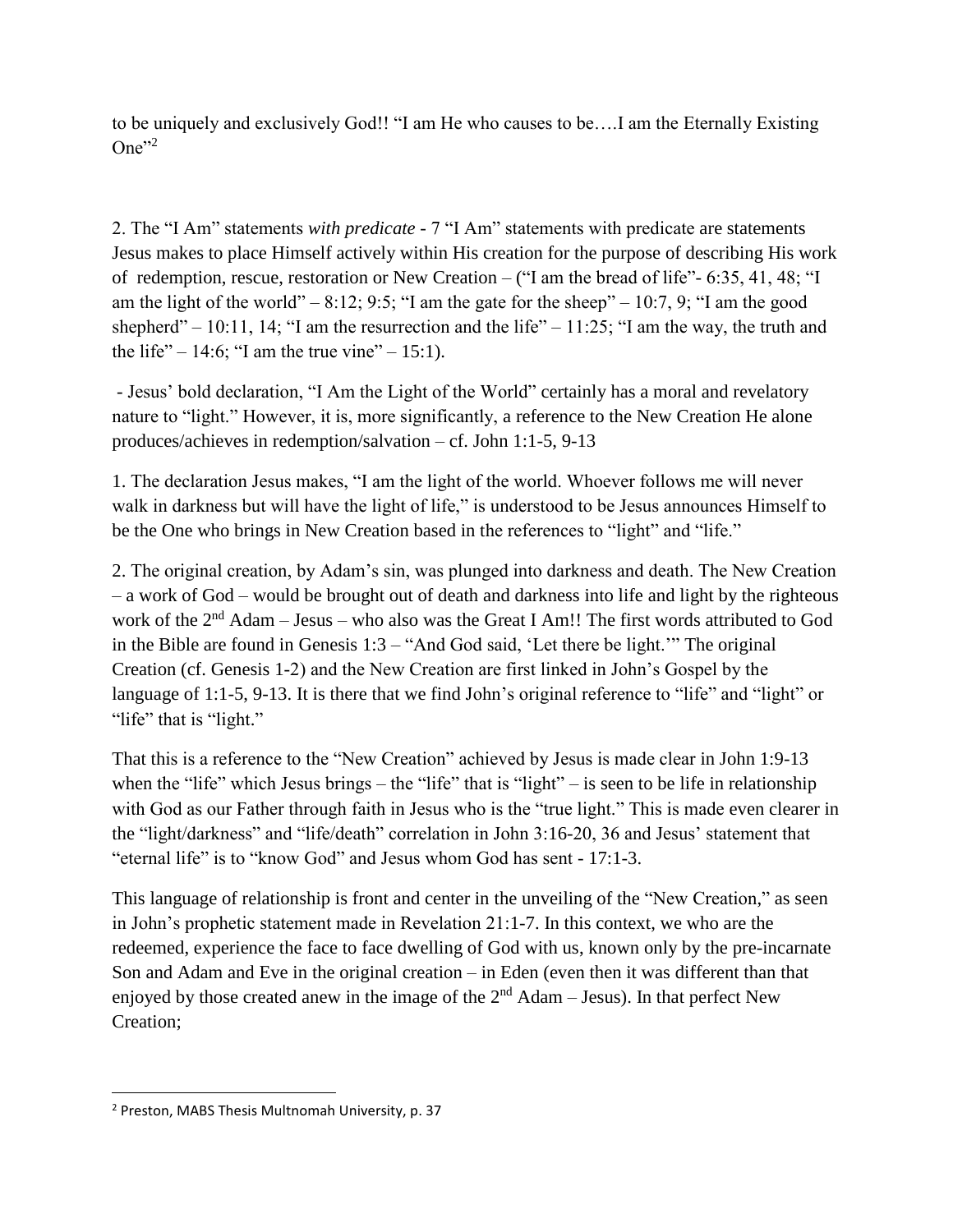to be uniquely and exclusively God!! "I am He who causes to be….I am the Eternally Existing One $"^{2}$ 

2. The "I Am" statements *with predicate* - 7 "I Am" statements with predicate are statements Jesus makes to place Himself actively within His creation for the purpose of describing His work of redemption, rescue, restoration or New Creation – ("I am the bread of life"- 6:35, 41, 48; "I am the light of the world" – 8:12; 9:5; "I am the gate for the sheep" – 10:7, 9; "I am the good shepherd" – 10:11, 14; "I am the resurrection and the life" – 11:25; "I am the way, the truth and the life" – 14:6; "I am the true vine" – 15:1).

- Jesus' bold declaration, "I Am the Light of the World" certainly has a moral and revelatory nature to "light." However, it is, more significantly, a reference to the New Creation He alone produces/achieves in redemption/salvation – cf. John 1:1-5, 9-13

1. The declaration Jesus makes, "I am the light of the world. Whoever follows me will never walk in darkness but will have the light of life," is understood to be Jesus announces Himself to be the One who brings in New Creation based in the references to "light" and "life."

2. The original creation, by Adam's sin, was plunged into darkness and death. The New Creation – a work of God – would be brought out of death and darkness into life and light by the righteous work of the  $2<sup>nd</sup>$  Adam – Jesus – who also was the Great I Am!! The first words attributed to God in the Bible are found in Genesis 1:3 – "And God said, 'Let there be light.'" The original Creation (cf. Genesis 1-2) and the New Creation are first linked in John's Gospel by the language of 1:1-5, 9-13. It is there that we find John's original reference to "life" and "light" or "life" that is "light."

That this is a reference to the "New Creation" achieved by Jesus is made clear in John 1:9-13 when the "life" which Jesus brings – the "life" that is "light" – is seen to be life in relationship with God as our Father through faith in Jesus who is the "true light." This is made even clearer in the "light/darkness" and "life/death" correlation in John 3:16-20, 36 and Jesus' statement that "eternal life" is to "know God" and Jesus whom God has sent - 17:1-3.

This language of relationship is front and center in the unveiling of the "New Creation," as seen in John's prophetic statement made in Revelation 21:1-7. In this context, we who are the redeemed, experience the face to face dwelling of God with us, known only by the pre-incarnate Son and Adam and Eve in the original creation – in Eden (even then it was different than that enjoyed by those created anew in the image of the  $2<sup>nd</sup>$  Adam – Jesus). In that perfect New Creation;

 $\overline{\phantom{a}}$ 

<sup>2</sup> Preston, MABS Thesis Multnomah University, p. 37